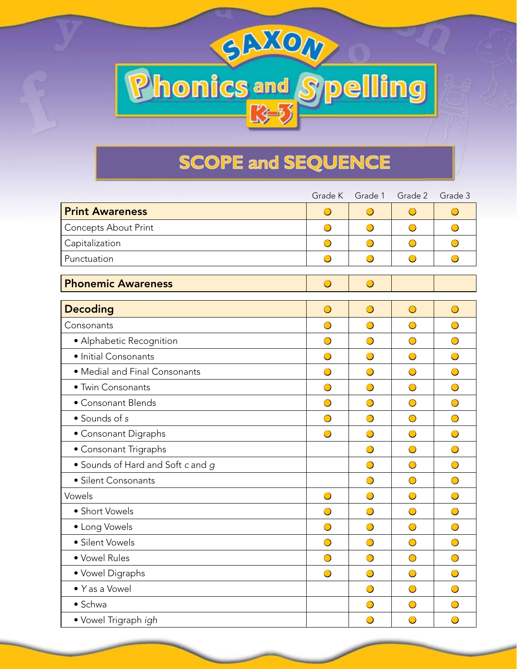## **SCOPE and SEQUENCE**

**Phonics and Spelling** 

|                                   | Grade K    | Grade 1    | Grade 2    | Grade 3    |
|-----------------------------------|------------|------------|------------|------------|
| <b>Print Awareness</b>            | $\bigcirc$ | $\bigcirc$ | $\bigcirc$ | $\bigcirc$ |
| <b>Concepts About Print</b>       | $\bigcirc$ | $\bigcirc$ | $\bigcirc$ | $\bigcirc$ |
| Capitalization                    | $\bigcirc$ | $\bigcirc$ | $\bigcirc$ | $\bigcirc$ |
| Punctuation                       | $\bigcirc$ | $\bigcirc$ | $\bigcirc$ | $\bigcirc$ |
| <b>Phonemic Awareness</b>         | $\bigcirc$ | $\bigcirc$ |            |            |
| <b>Decoding</b>                   | $\bigcirc$ | $\bigcirc$ | $\bigcirc$ | $\bigcirc$ |
| Consonants                        | ◯          | $\bigcirc$ | $\bigcirc$ | $\bigcirc$ |
| · Alphabetic Recognition          | $\bigcirc$ | $\bigcirc$ | $\bigcirc$ | $\bigcirc$ |
| · Initial Consonants              | $\bigcirc$ | $\bigcirc$ | $\bigcirc$ | $\bigcirc$ |
| • Medial and Final Consonants     | $\bigcirc$ | $\bigcirc$ | $\bigcirc$ | $\bigcirc$ |
| • Twin Consonants                 | $\bigcirc$ | $\bigcirc$ | $\bigcirc$ | $\bigcirc$ |
| • Consonant Blends                | $\bigcirc$ | $\bigcirc$ | $\bigcirc$ | $\bigcirc$ |
| • Sounds of s                     | $\bigcirc$ | $\bigcirc$ | $\bigcirc$ | $\bigcirc$ |
| • Consonant Digraphs              | $\bigcirc$ | $\bigcirc$ | $\bigcirc$ | $\bigcirc$ |
| • Consonant Trigraphs             |            | $\bigcirc$ | $\bigcirc$ | $\bigcirc$ |
| • Sounds of Hard and Soft c and g |            | $\bigcirc$ | $\bigcirc$ | $\bigcirc$ |
| · Silent Consonants               |            | $\bigcirc$ | $\bigcirc$ | $\bigcirc$ |
| Vowels                            | $\bigcirc$ | $\bigcirc$ | $\bigcirc$ | $\bigcirc$ |
| • Short Vowels                    | $\bigcirc$ | $\bigcirc$ | $\bigcirc$ | $\bigcirc$ |
| • Long Vowels                     | $\bigcirc$ | $\bigcirc$ | $\bigcirc$ | $\bigcirc$ |
| · Silent Vowels                   | $\bigcirc$ | $\bigcirc$ | $\bigcirc$ | $\bigcirc$ |
| · Vowel Rules                     | $\bigcirc$ | $\bigcirc$ | $\bigcirc$ | $\bigcirc$ |
| • Vowel Digraphs                  | $\bigcirc$ | $\bigcirc$ | $\bigcirc$ | $\bigcirc$ |
| • Yas a Vowel                     |            | $\bigcirc$ | $\bigcirc$ | $\bigcirc$ |
| • Schwa                           |            | $\bigcirc$ | $\bigcirc$ | $\bigcirc$ |
| · Vowel Trigraph igh              |            | $\bigcirc$ | $\bigcirc$ | $\bigcirc$ |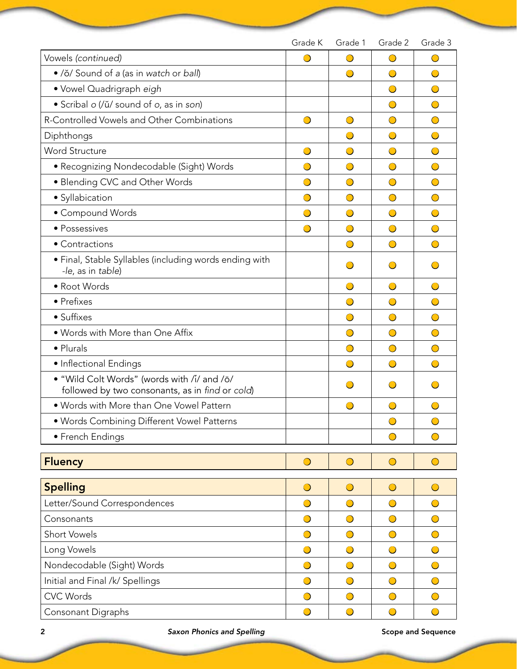|                                                                                                | Grade K    | Grade 1    | Grade 2    | Grade 3              |
|------------------------------------------------------------------------------------------------|------------|------------|------------|----------------------|
| Vowels (continued)                                                                             | $\bigcirc$ | $\bigcirc$ | $\bigcirc$ | $\bigcirc$           |
| • /ŏ/ Sound of a (as in watch or ball)                                                         |            |            | $\bigcirc$ | $\bigcirc$           |
| • Vowel Quadrigraph eigh                                                                       |            |            | $\bigcirc$ | $\bigcirc$           |
| · Scribal o (/ŭ/ sound of o, as in son)                                                        |            |            | $\bigcirc$ | $\bigcirc$           |
| R-Controlled Vowels and Other Combinations                                                     | $\bigcirc$ | $\bigcirc$ | $\bigcirc$ | $\bigcirc$           |
| Diphthongs                                                                                     |            | $\bigcirc$ | $\bigcirc$ | $\bigcirc$           |
| <b>Word Structure</b>                                                                          | $\bigcirc$ | $\bigcirc$ | $\bigcirc$ | $\bigcirc$           |
| • Recognizing Nondecodable (Sight) Words                                                       | $\bigcirc$ | $\bigcirc$ | $\bigcirc$ | $\bigcirc$           |
| • Blending CVC and Other Words                                                                 | $\bigcirc$ | $\bigcirc$ | $\bigcirc$ | $\bigcirc$           |
| · Syllabication                                                                                | $\bigcirc$ | $\bigcirc$ | $\bigcirc$ | $\bigcirc$           |
| • Compound Words                                                                               |            | $\bigcirc$ | $\bigcirc$ | $\bigcirc$           |
| • Possessives                                                                                  | $\bigcirc$ | $\bigcirc$ | $\bigcirc$ | $\bigcirc$           |
| • Contractions                                                                                 |            | $\bigcirc$ | $\bigcirc$ | $\bigcirc$           |
| · Final, Stable Syllables (including words ending with<br>-le, as in table)                    |            | $\bigcirc$ | $\bigcirc$ | $\overline{(\cdot)}$ |
| • Root Words                                                                                   |            | $\bigcirc$ | $\bigcirc$ | $\bigcirc$           |
| • Prefixes                                                                                     |            | $\bigcirc$ | $\bigcirc$ | $\bigcirc$           |
| • Suffixes                                                                                     |            | $\bigcirc$ | $\bigcirc$ | $\bigcirc$           |
| . Words with More than One Affix                                                               |            | $\bigcirc$ | $\bigcirc$ | $\bigcirc$           |
| • Plurals                                                                                      |            | $\bigcirc$ | $\bigcirc$ | $\bigcirc$           |
| • Inflectional Endings                                                                         |            | $\bigcirc$ | $\bigcirc$ | $\bigcirc$           |
| . "Wild Colt Words" (words with /i/ and /ō/<br>followed by two consonants, as in find or cold) |            |            |            |                      |
| . Words with More than One Vowel Pattern                                                       |            |            | $\bigcirc$ | $\bigcap$            |
| · Words Combining Different Vowel Patterns                                                     |            |            | $\bigcirc$ | $\bigcirc$           |
| • French Endings                                                                               |            |            | $\bigcirc$ | $\bigcirc$           |
|                                                                                                |            |            |            |                      |
| <b>Fluency</b>                                                                                 | $\bigcirc$ | $\bigcirc$ | $\bigcirc$ | $\bigcirc$           |
| <b>Spelling</b>                                                                                | $\bigcirc$ | $\bigcirc$ | $\bigcirc$ | $\bigcirc$           |
| Letter/Sound Correspondences                                                                   | $\bigcirc$ | $\bigcirc$ | $\bigcirc$ | $\bigcirc$           |
| Consonants                                                                                     | $\bigcirc$ | $\bigcirc$ | $\bigcirc$ | $\bigcirc$           |
| <b>Short Vowels</b>                                                                            | $\bigcirc$ | $\bigcirc$ | $\bigcirc$ | $\bigcirc$           |
| Long Vowels                                                                                    | $\bigcirc$ | $\bigcirc$ | $\bigcirc$ | $\bigcirc$           |
| Nondecodable (Sight) Words                                                                     | $\bigcirc$ | $\bigcirc$ | $\bigcirc$ | $\bigcirc$           |
| Initial and Final /k/ Spellings                                                                | $\bigcirc$ | $\bigcirc$ | $\bigcirc$ | $\bigcirc$           |
| <b>CVC Words</b>                                                                               | $\bigcirc$ | $\bigcirc$ | $\bigcirc$ | $\bigcirc$           |
| Consonant Digraphs                                                                             | $\bigcirc$ | $\bigcirc$ | $\bigcirc$ | $\bigcirc$           |

2 **Saxon Phonics and Spelling** Scope and Sequence